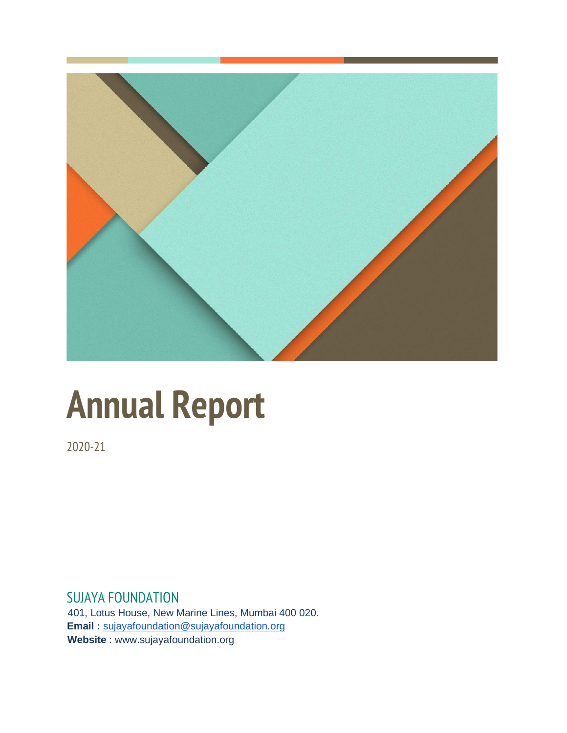

## **Annual Report**

2020-21

SUJAYA FOUNDATION 401, Lotus House, New Marine Lines, Mumbai 400 020.  **Email :** [sujayafoundation@sujayafoundation.org](mailto:sujayafoundation@sujayafoundation.org)  **Website** : www.sujayafoundation.org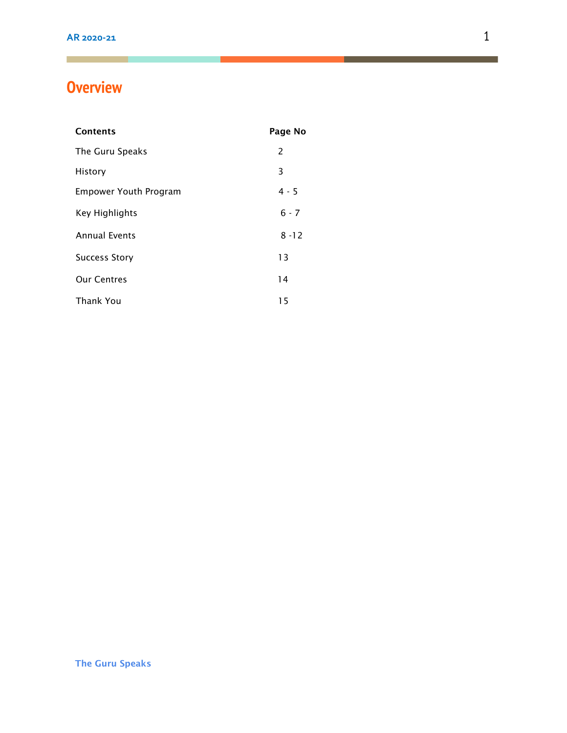### **Overview**

| <b>Contents</b>              | Page No  |
|------------------------------|----------|
| The Guru Speaks              | 2        |
| History                      | 3        |
| <b>Empower Youth Program</b> | $4 - 5$  |
| Key Highlights               | $6 - 7$  |
| <b>Annual Events</b>         | $8 - 12$ |
| <b>Success Story</b>         | 13       |
| <b>Our Centres</b>           | 14       |
| <b>Thank You</b>             | 15       |

 $\blacksquare$  . The contract of the contract of  $\blacksquare$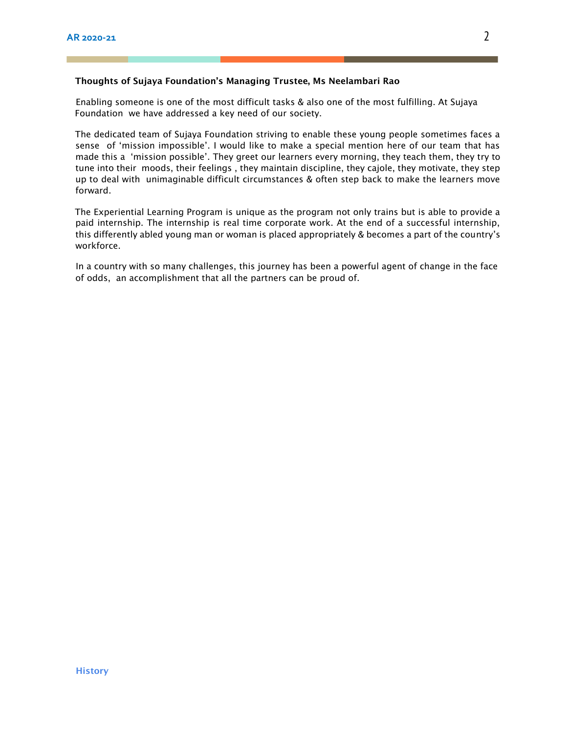#### Thoughts of Sujaya Foundation's Managing Trustee, Ms Neelambari Rao

Enabling someone is one of the most difficult tasks & also one of the most fulfilling. At Sujaya Foundation we have addressed a key need of our society.

The dedicated team of Sujaya Foundation striving to enable these young people sometimes faces a sense of 'mission impossible'. I would like to make a special mention here of our team that has made this a 'mission possible'. They greet our learners every morning, they teach them, they try to tune into their moods, their feelings , they maintain discipline, they cajole, they motivate, they step up to deal with unimaginable difficult circumstances & often step back to make the learners move forward.

The Experiential Learning Program is unique as the program not only trains but is able to provide a paid internship. The internship is real time corporate work. At the end of a successful internship, this differently abled young man or woman is placed appropriately & becomes a part of the country's workforce.

In a country with so many challenges, this journey has been a powerful agent of change in the face of odds, an accomplishment that all the partners can be proud of.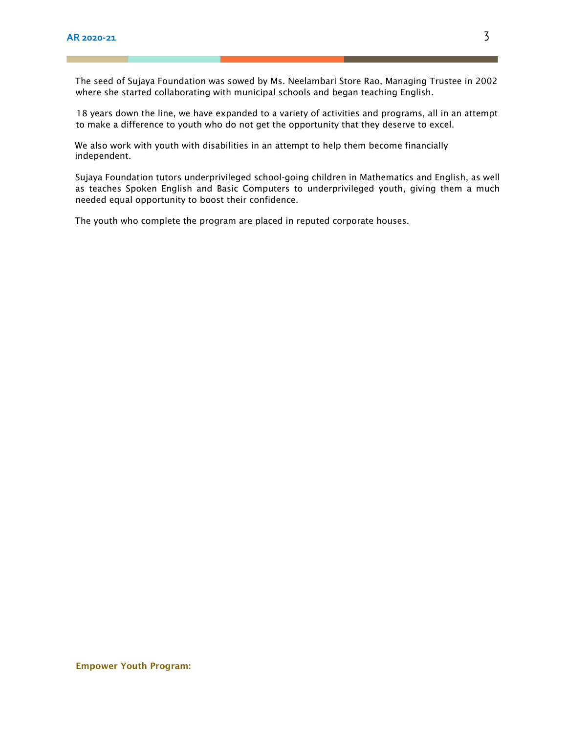The seed of Sujaya Foundation was sowed by Ms. Neelambari Store Rao, Managing Trustee in 2002 where she started collaborating with municipal schools and began teaching English.

18 years down the line, we have expanded to a variety of activities and programs, all in an attempt to make a difference to youth who do not get the opportunity that they deserve to excel.

We also work with youth with disabilities in an attempt to help them become financially independent.

Sujaya Foundation tutors underprivileged school-going children in Mathematics and English, as well as teaches Spoken English and Basic Computers to underprivileged youth, giving them a much needed equal opportunity to boost their confidence.

The youth who complete the program are placed in reputed corporate houses.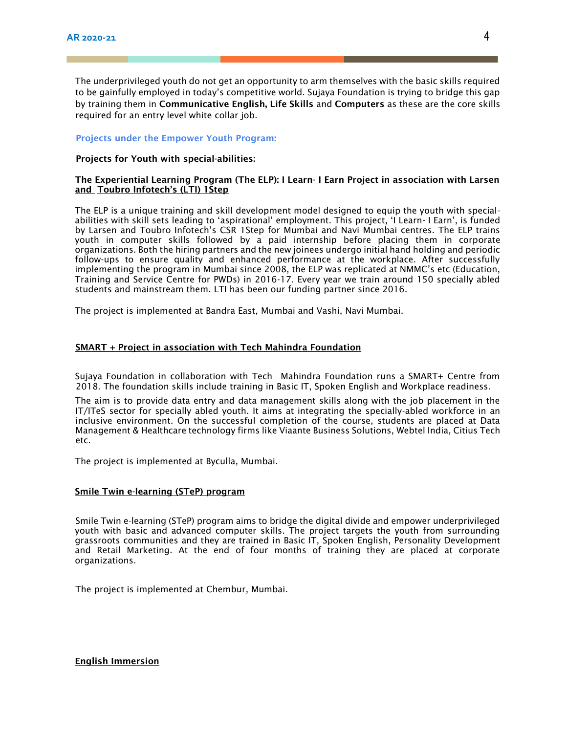The underprivileged youth do not get an opportunity to arm themselves with the basic skills required to be gainfully employed in today's competitive world. Sujaya Foundation is trying to bridge this gap by training them in Communicative English, Life Skills and Computers as these are the core skills required for an entry level white collar job.

#### Projects under the Empower Youth Program:

#### Projects for Youth with special-abilities:

#### The Experiential Learning Program (The ELP): I Learn- I Earn Project in association with Larsen and Toubro Infotech's (LTI) 1Step

The ELP is a unique training and skill development model designed to equip the youth with specialabilities with skill sets leading to 'aspirational' employment. This project, 'I Learn- I Earn', is funded by Larsen and Toubro Infotech's CSR 1Step for Mumbai and Navi Mumbai centres. The ELP trains youth in computer skills followed by a paid internship before placing them in corporate organizations. Both the hiring partners and the new joinees undergo initial hand holding and periodic follow-ups to ensure quality and enhanced performance at the workplace. After successfully implementing the program in Mumbai since 2008, the ELP was replicated at NMMC's etc (Education, Training and Service Centre for PWDs) in 2016-17. Every year we train around 150 specially abled students and mainstream them. LTI has been our funding partner since 2016.

The project is implemented at Bandra East, Mumbai and Vashi, Navi Mumbai.

#### SMART + Project in association with Tech Mahindra Foundation

Sujaya Foundation in collaboration with Tech Mahindra Foundation runs a SMART+ Centre from 2018. The foundation skills include training in Basic IT, Spoken English and Workplace readiness.

The aim is to provide data entry and data management skills along with the job placement in the IT/ITeS sector for specially abled youth. It aims at integrating the specially-abled workforce in an inclusive environment. On the successful completion of the course, students are placed at Data Management & Healthcare technology firms like Viaante Business Solutions, Webtel India, Citius Tech etc.

The project is implemented at Byculla, Mumbai.

#### Smile Twin e-learning (STeP) program

Smile Twin e-learning (STeP) program aims to bridge the digital divide and empower underprivileged youth with basic and advanced computer skills. The project targets the youth from surrounding grassroots communities and they are trained in Basic IT, Spoken English, Personality Development and Retail Marketing. At the end of four months of training they are placed at corporate organizations.

The project is implemented at Chembur, Mumbai.

English Immersion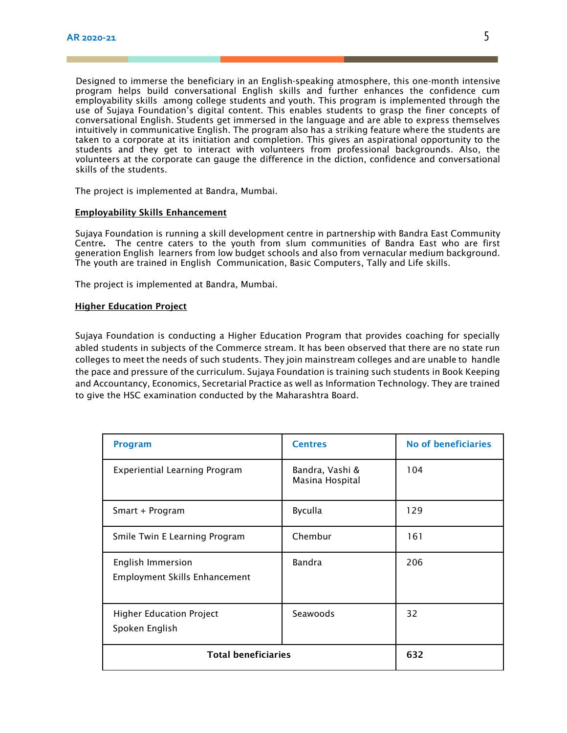Designed to immerse the beneficiary in an English-speaking atmosphere, this one-month intensive program helps build conversational English skills and further enhances the confidence cum employability skills among college students and youth. This program is implemented through the use of Sujaya Foundation's digital content. This enables students to grasp the finer concepts of conversational English. Students get immersed in the language and are able to express themselves intuitively in communicative English. The program also has a striking feature where the students are taken to a corporate at its initiation and completion. This gives an aspirational opportunity to the students and they get to interact with volunteers from professional backgrounds. Also, the volunteers at the corporate can gauge the difference in the diction, confidence and conversational skills of the students.

The project is implemented at Bandra, Mumbai.

#### Employability Skills Enhancement

Sujaya Foundation is running a skill development centre in partnership with Bandra East Community Centre. The centre caters to the youth from slum communities of Bandra East who are first generation English learners from low budget schools and also from vernacular medium background. The youth are trained in English Communication, Basic Computers, Tally and Life skills.

The project is implemented at Bandra, Mumbai.

#### Higher Education Project

Sujaya Foundation is conducting a Higher Education Program that provides coaching for specially abled students in subjects of the Commerce stream. It has been observed that there are no state run colleges to meet the needs of such students. They join mainstream colleges and are unable to handle the pace and pressure of the curriculum. Sujaya Foundation is training such students in Book Keeping and Accountancy, Economics, Secretarial Practice as well as Information Technology. They are trained to give the HSC examination conducted by the Maharashtra Board.

| <b>Program</b>                                            | <b>Centres</b>                     | <b>No of beneficiaries</b> |
|-----------------------------------------------------------|------------------------------------|----------------------------|
| <b>Experiential Learning Program</b>                      | Bandra, Vashi &<br>Masina Hospital | 104                        |
| Smart + Program                                           | <b>Byculla</b>                     | 129                        |
| Smile Twin E Learning Program                             | Chembur                            | 161                        |
| English Immersion<br><b>Employment Skills Enhancement</b> | Bandra                             | 206                        |
| <b>Higher Education Project</b><br>Spoken English         | Seawoods                           | 32                         |
| <b>Total beneficiaries</b>                                |                                    | 632                        |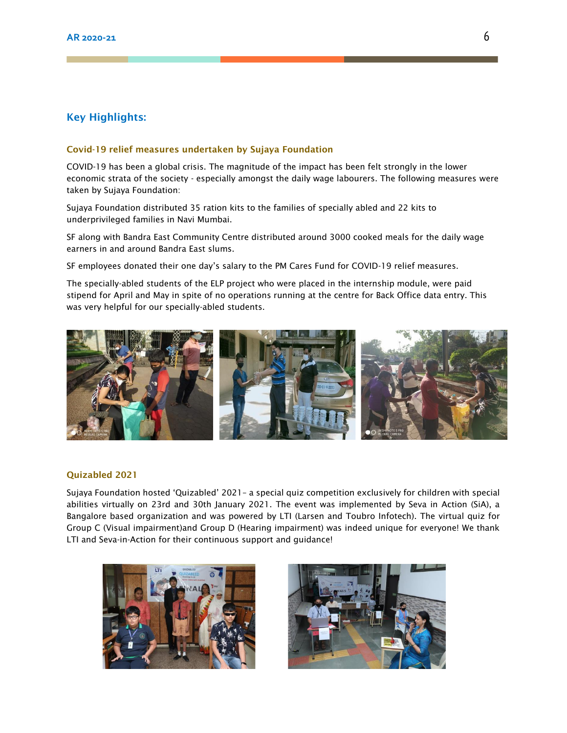#### Key Highlights:

#### Covid-19 relief measures undertaken by Sujaya Foundation

COVID-19 has been a global crisis. The magnitude of the impact has been felt strongly in the lower economic strata of the society - especially amongst the daily wage labourers. The following measures were taken by Sujaya Foundation:

Sujaya Foundation distributed 35 ration kits to the families of specially abled and 22 kits to underprivileged families in Navi Mumbai.

SF along with Bandra East Community Centre distributed around 3000 cooked meals for the daily wage earners in and around Bandra East slums.

SF employees donated their one day's salary to the PM Cares Fund for COVID-19 relief measures.

The specially-abled students of the ELP project who were placed in the internship module, were paid stipend for April and May in spite of no operations running at the centre for Back Office data entry. This was very helpful for our specially-abled students.



#### Quizabled 2021

Sujaya Foundation hosted 'Quizabled' 2021– a special quiz competition exclusively for children with special abilities virtually on 23rd and 30th January 2021. The event was implemented by Seva in Action (SiA), a Bangalore based organization and was powered by LTI (Larsen and Toubro Infotech). The virtual quiz for Group C (Visual impairment)and Group D (Hearing impairment) was indeed unique for everyone! We thank LTI and Seva-in-Action for their continuous support and guidance!



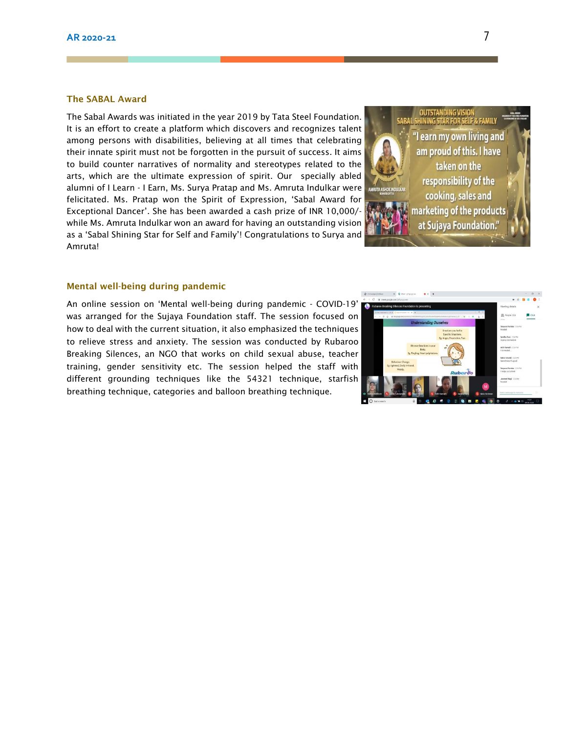#### The SABAL Award

The Sabal Awards was initiated in the year 2019 by Tata Steel Foundation. It is an effort to create a platform which discovers and recognizes talent among persons with disabilities, believing at all times that celebrating their innate spirit must not be forgotten in the pursuit of success. It aims to build counter narratives of normality and stereotypes related to the arts, which are the ultimate expression of spirit. Our specially abled alumni of I Learn - I Earn, Ms. Surya Pratap and Ms. Amruta Indulkar were felicitated. Ms. Pratap won the Spirit of Expression, 'Sabal Award for Exceptional Dancer'. She has been awarded a cash prize of INR 10,000/ while Ms. Amruta Indulkar won an award for having an outstanding vision as a 'Sabal Shining Star for Self and Family'! Congratulations to Surya and Amruta!



#### Mental well-being during pandemic

An online session on 'Mental well-being during pandemic - COVID-19' was arranged for the Sujaya Foundation staff. The session focused on how to deal with the current situation, it also emphasized the techniques to relieve stress and anxiety. The session was conducted by Rubaroo Breaking Silences, an NGO that works on child sexual abuse, teacher training, gender sensitivity etc. The session helped the staff with different grounding techniques like the 54321 technique, starfish breathing technique, categories and balloon breathing technique.

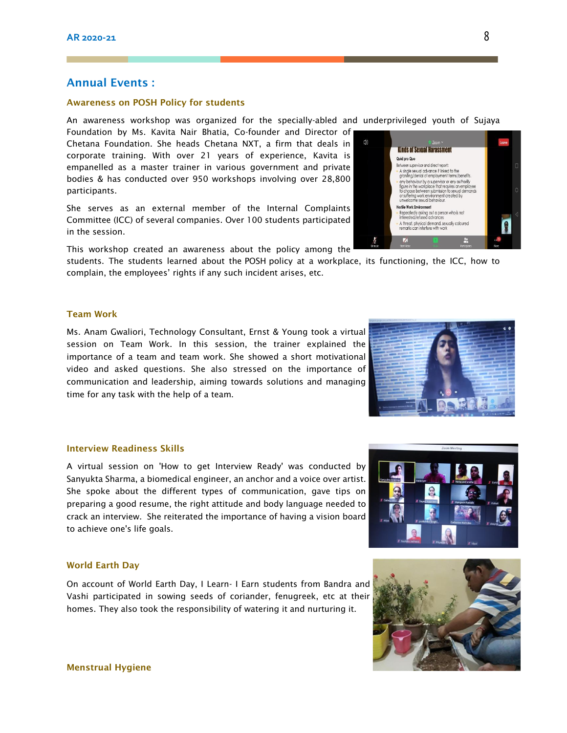#### Annual Events :

#### Awareness on POSH Policy for students

An awareness workshop was organized for the specially-abled and underprivileged youth of Sujaya

Foundation by Ms. Kavita Nair Bhatia, Co-founder and Director of Chetana Foundation. She heads Chetana NXT, a firm that deals in corporate training. With over 21 years of experience, Kavita is empanelled as a master trainer in various government and private bodies & has conducted over 950 workshops involving over 28,800 participants.

She serves as an external member of the Internal Complaints Committee (ICC) of several companies. Over 100 students participated in the session.

This workshop created an awareness about the policy among the

students. The students learned about the POSH policy at a workplace, its functioning, the ICC, how to complain, the employees' rights if any such incident arises, etc.

#### Team Work

Ms. Anam Gwaliori, Technology Consultant, Ernst & Young took a virtual session on Team Work. In this session, the trainer explained the importance of a team and team work. She showed a short motivational video and asked questions. She also stressed on the importance of communication and leadership, aiming towards solutions and managing time for any task with the help of a team.

#### Interview Readiness Skills

A virtual session on 'How to get Interview Ready' was conducted by Sanyukta Sharma, a biomedical engineer, an anchor and a voice over artist. She spoke about the different types of communication, gave tips on preparing a good resume, the right attitude and body language needed to crack an interview. She reiterated the importance of having a vision board to achieve one's life goals.

#### World Earth Day

On account of World Earth Day, I Learn- I Earn students from Bandra and Vashi participated in sowing seeds of coriander, fenugreek, etc at their homes. They also took the responsibility of watering it and nurturing it.







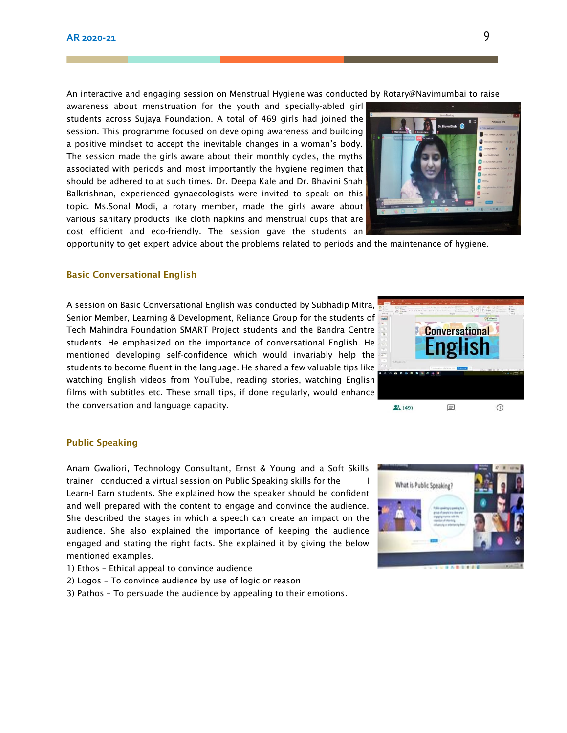An interactive and engaging session on Menstrual Hygiene was conducted by Rotary@Navimumbai to raise

awareness about menstruation for the youth and specially-abled girl students across Sujaya Foundation. A total of 469 girls had joined the session. This programme focused on developing awareness and building a positive mindset to accept the inevitable changes in a woman's body. The session made the girls aware about their monthly cycles, the myths associated with periods and most importantly the hygiene regimen that should be adhered to at such times. Dr. Deepa Kale and Dr. Bhavini Shah Balkrishnan, experienced gynaecologists were invited to speak on this topic. Ms.Sonal Modi, a rotary member, made the girls aware about various sanitary products like cloth napkins and menstrual cups that are cost efficient and eco-friendly. The session gave the students an

opportunity to get expert advice about the problems related to periods and the maintenance of hygiene.

#### Basic Conversational English

A session on Basic Conversational English was conducted by Subhadip Mitra, Senior Member, Learning & Development, Reliance Group for the students of Tech Mahindra Foundation SMART Project students and the Bandra Centre students. He emphasized on the importance of conversational English. He mentioned developing self-confidence which would invariably help the students to become fluent in the language. He shared a few valuable tips like watching English videos from YouTube, reading stories, watching English films with subtitles etc. These small tips, if done regularly, would enhance the conversation and language capacity.

#### Public Speaking

Anam Gwaliori, Technology Consultant, Ernst & Young and a Soft Skills trainer conducted a virtual session on Public Speaking skills for the Learn-I Earn students. She explained how the speaker should be confident and well prepared with the content to engage and convince the audience. She described the stages in which a speech can create an impact on the audience. She also explained the importance of keeping the audience engaged and stating the right facts. She explained it by giving the below mentioned examples.

- 1) Ethos Ethical appeal to convince audience
- 2) Logos To convince audience by use of logic or reason
- 3) Pathos To persuade the audience by appealing to their emotions.





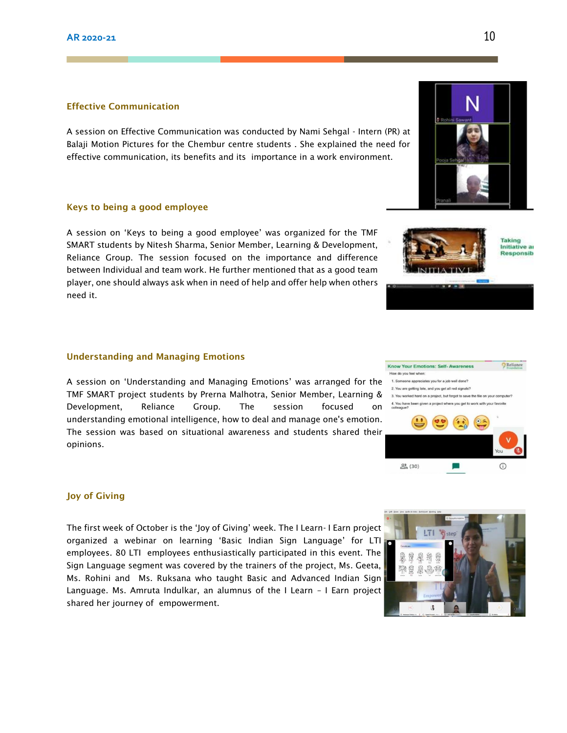#### Effective Communication

A session on Effective Communication was conducted by Nami Sehgal - Intern (PR) at Balaji Motion Pictures for the Chembur centre students . She explained the need for effective communication, its benefits and its importance in a work environment.

#### Keys to being a good employee

A session on 'Keys to being a good employee' was organized for the TMF SMART students by Nitesh Sharma, Senior Member, Learning & Development, Reliance Group. The session focused on the importance and difference between Individual and team work. He further mentioned that as a good team player, one should always ask when in need of help and offer help when others need it.

#### Understanding and Managing Emotions

A session on 'Understanding and Managing Emotions' was arranged for the TMF SMART project students by Prerna Malhotra, Senior Member, Learning & Development, Reliance Group. The session focused on understanding emotional intelligence, how to deal and manage one's emotion. The session was based on situational awareness and students shared their opinions.

#### Joy of Giving

The first week of October is the 'Joy of Giving' week. The I Learn- I Earn project organized a webinar on learning 'Basic Indian Sign Language' for LTI employees. 80 LTI employees enthusiastically participated in this event. The Sign Language segment was covered by the trainers of the project, Ms. Geeta, Ms. Rohini and Ms. Ruksana who taught Basic and Advanced Indian Sign Language. Ms. Amruta Indulkar, an alumnus of the I Learn – I Earn project shared her journey of empowerment.



Taking Initiative ar **Responsib** 



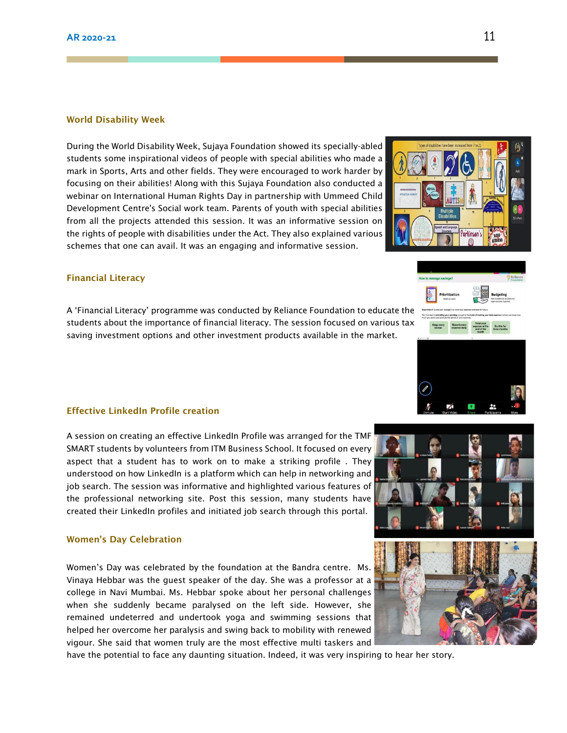#### World Disability Week

During the World Disability Week, Sujaya Foundation showed its specially-abled students some inspirational videos of people with special abilities who made a mark in Sports, Arts and other fields. They were encouraged to work harder by focusing on their abilities! Along with this Sujaya Foundation also conducted a webinar on International Human Rights Day in partnership with Ummeed Child Development Centre's Social work team. Parents of youth with special abilities from all the projects attended this session. It was an informative session on the rights of people with disabilities under the Act. They also explained various schemes that one can avail. It was an engaging and informative session.

#### Financial Literacy

A 'Financial Literacy' programme was conducted by Reliance Foundation to educate the students about the importance of financial literacy. The session focused on various tax saving investment options and other investment products available in the market.

#### Effective LinkedIn Profile creation

A session on creating an effective LinkedIn Profile was arranged for the TMF SMART students by volunteers from ITM Business School. It focused on every aspect that a student has to work on to make a striking profile . They understood on how LinkedIn is a platform which can help in networking and job search. The session was informative and highlighted various features of the professional networking site. Post this session, many students have created their LinkedIn profiles and initiated job search through this portal.

#### Women's Day Celebration

Women's Day was celebrated by the foundation at the Bandra centre. Ms. Vinaya Hebbar was the guest speaker of the day. She was a professor at a college in Navi Mumbai. Ms. Hebbar spoke about her personal challenges when she suddenly became paralysed on the left side. However, she remained undeterred and undertook yoga and swimming sessions that helped her overcome her paralysis and swing back to mobility with renewed vigour. She said that women truly are the most effective multi taskers and

have the potential to face any daunting situation. Indeed, it was very inspiring to hear her story.





rkinser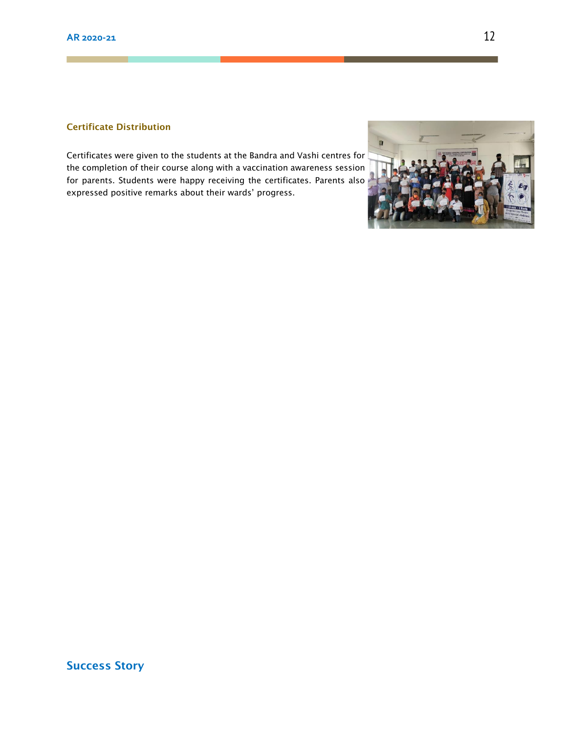#### Certificate Distribution

Certificates were given to the students at the Bandra and Vashi centres for the completion of their course along with a vaccination awareness session for parents. Students were happy receiving the certificates. Parents also expressed positive remarks about their wards' progress.



Success Story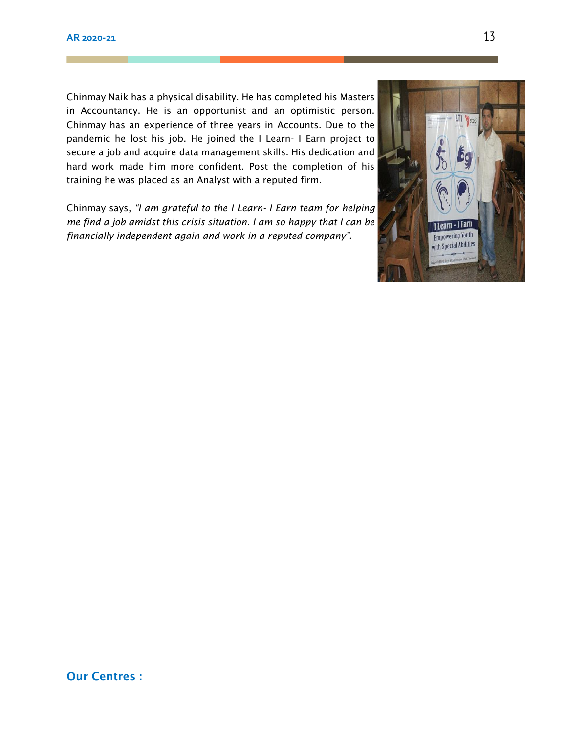Chinmay Naik has a physical disability. He has completed his Masters in Accountancy. He is an opportunist and an optimistic person. Chinmay has an experience of three years in Accounts. Due to the pandemic he lost his job. He joined the I Learn- I Earn project to secure a job and acquire data management skills. His dedication and hard work made him more confident. Post the completion of his training he was placed as an Analyst with a reputed firm.

Chinmay says, *"I am grateful to the I Learn- I Earn team for helping me find a job amidst this crisis situation. I am so happy that I can be financially independent again and work in a reputed company".*

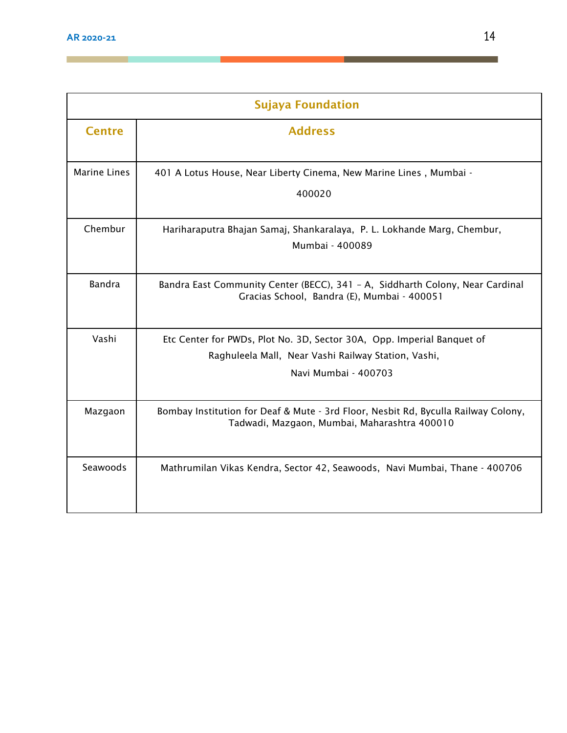<u> Tanzania (h. 1878).</u><br>Naiszaren

a sa sa

| <b>Sujaya Foundation</b> |                                                                                                                                    |  |
|--------------------------|------------------------------------------------------------------------------------------------------------------------------------|--|
| <b>Centre</b>            | <b>Address</b>                                                                                                                     |  |
| <b>Marine Lines</b>      | 401 A Lotus House, Near Liberty Cinema, New Marine Lines, Mumbai -                                                                 |  |
|                          | 400020                                                                                                                             |  |
| Chembur                  | Hariharaputra Bhajan Samaj, Shankaralaya, P. L. Lokhande Marg, Chembur,                                                            |  |
|                          | Mumbai - 400089                                                                                                                    |  |
| Bandra                   | Bandra East Community Center (BECC), 341 - A, Siddharth Colony, Near Cardinal<br>Gracias School, Bandra (E), Mumbai - 400051       |  |
| Vashi                    | Etc Center for PWDs, Plot No. 3D, Sector 30A, Opp. Imperial Banquet of                                                             |  |
|                          | Raghuleela Mall, Near Vashi Railway Station, Vashi,                                                                                |  |
|                          | Navi Mumbai - 400703                                                                                                               |  |
| Mazgaon                  | Bombay Institution for Deaf & Mute - 3rd Floor, Nesbit Rd, Byculla Railway Colony,<br>Tadwadi, Mazgaon, Mumbai, Maharashtra 400010 |  |
| Seawoods                 | Mathrumilan Vikas Kendra, Sector 42, Seawoods, Navi Mumbai, Thane - 400706                                                         |  |

<u>na katalog a</u> kacamatan ing Kabupatèn Bandaran Kabupatèn Bandaran Ing Kabupatèn Bandaran Ing Kabupatèn Bandaran